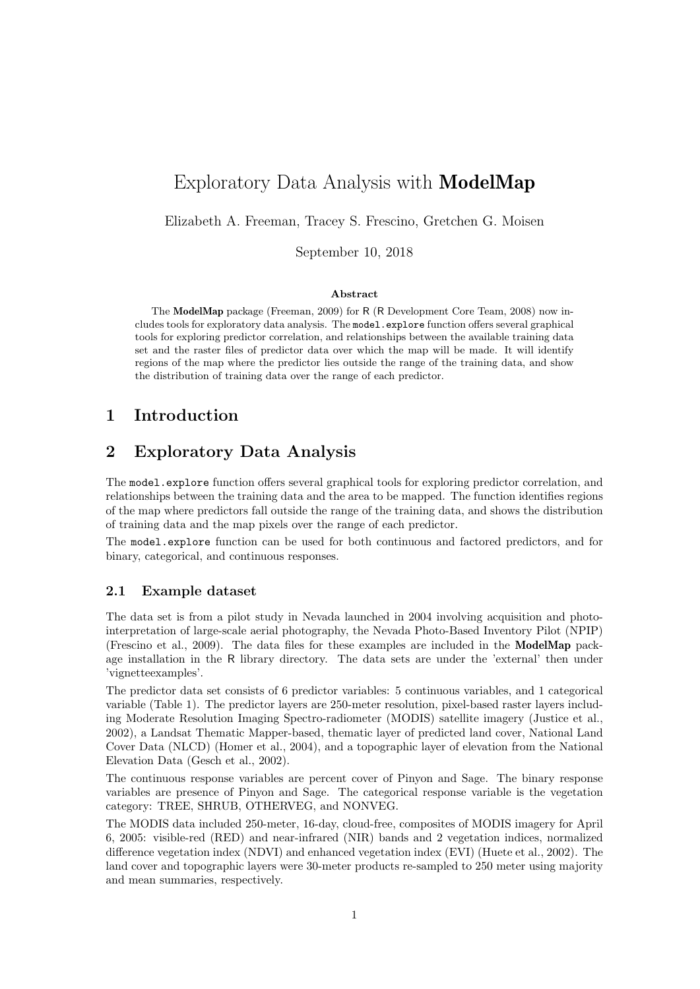# Exploratory Data Analysis with ModelMap

Elizabeth A. Freeman, Tracey S. Frescino, Gretchen G. Moisen

September 10, 2018

#### Abstract

The ModelMap package (Freeman, 2009) for R (R Development Core Team, 2008) now includes tools for exploratory data analysis. The model.explore function offers several graphical tools for exploring predictor correlation, and relationships between the available training data set and the raster files of predictor data over which the map will be made. It will identify regions of the map where the predictor lies outside the range of the training data, and show the distribution of training data over the range of each predictor.

# 1 Introduction

# 2 Exploratory Data Analysis

The model.explore function offers several graphical tools for exploring predictor correlation, and relationships between the training data and the area to be mapped. The function identifies regions of the map where predictors fall outside the range of the training data, and shows the distribution of training data and the map pixels over the range of each predictor.

The model.explore function can be used for both continuous and factored predictors, and for binary, categorical, and continuous responses.

#### 2.1 Example dataset

The data set is from a pilot study in Nevada launched in 2004 involving acquisition and photointerpretation of large-scale aerial photography, the Nevada Photo-Based Inventory Pilot (NPIP) (Frescino et al., 2009). The data files for these examples are included in the ModelMap package installation in the R library directory. The data sets are under the 'external' then under 'vignetteexamples'.

The predictor data set consists of 6 predictor variables: 5 continuous variables, and 1 categorical variable (Table 1). The predictor layers are 250-meter resolution, pixel-based raster layers including Moderate Resolution Imaging Spectro-radiometer (MODIS) satellite imagery (Justice et al., 2002), a Landsat Thematic Mapper-based, thematic layer of predicted land cover, National Land Cover Data (NLCD) (Homer et al., 2004), and a topographic layer of elevation from the National Elevation Data (Gesch et al., 2002).

The continuous response variables are percent cover of Pinyon and Sage. The binary response variables are presence of Pinyon and Sage. The categorical response variable is the vegetation category: TREE, SHRUB, OTHERVEG, and NONVEG.

The MODIS data included 250-meter, 16-day, cloud-free, composites of MODIS imagery for April 6, 2005: visible-red (RED) and near-infrared (NIR) bands and 2 vegetation indices, normalized difference vegetation index (NDVI) and enhanced vegetation index (EVI) (Huete et al., 2002). The land cover and topographic layers were 30-meter products re-sampled to 250 meter using majority and mean summaries, respectively.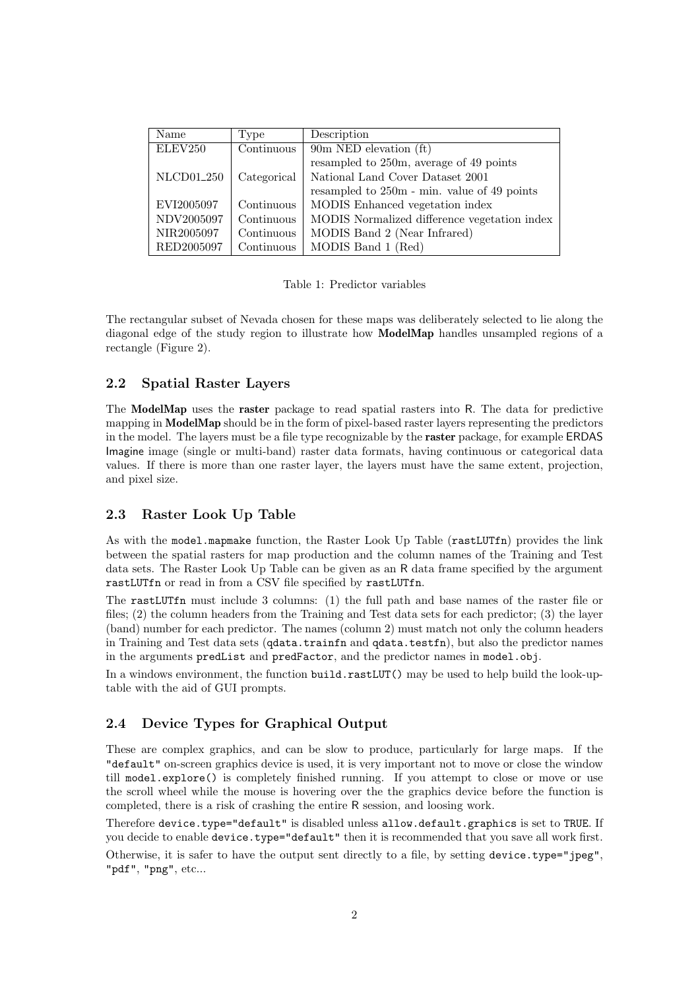| Name                   | Type                           | Description                                  |
|------------------------|--------------------------------|----------------------------------------------|
| ELEV250                | $\overline{\text{Continuous}}$ | 90m NED elevation $(ft)$                     |
|                        |                                | resampled to 250m, average of 49 points      |
| NLCD01 <sub>-250</sub> | Categorical                    | National Land Cover Dataset 2001             |
|                        |                                | resampled to 250m - min. value of 49 points  |
| EVI2005097             | Continuous                     | MODIS Enhanced vegetation index              |
| NDV2005097             | Continuous                     | MODIS Normalized difference vegetation index |
| NIR2005097             | Continuous                     | MODIS Band 2 (Near Infrared)                 |
| RED2005097             | Continuous                     | MODIS Band 1 (Red)                           |

Table 1: Predictor variables

The rectangular subset of Nevada chosen for these maps was deliberately selected to lie along the diagonal edge of the study region to illustrate how ModelMap handles unsampled regions of a rectangle (Figure 2).

## 2.2 Spatial Raster Layers

The ModelMap uses the raster package to read spatial rasters into R. The data for predictive mapping in ModelMap should be in the form of pixel-based raster layers representing the predictors in the model. The layers must be a file type recognizable by the raster package, for example ERDAS Imagine image (single or multi-band) raster data formats, having continuous or categorical data values. If there is more than one raster layer, the layers must have the same extent, projection, and pixel size.

### 2.3 Raster Look Up Table

As with the model.mapmake function, the Raster Look Up Table (rastLUTfn) provides the link between the spatial rasters for map production and the column names of the Training and Test data sets. The Raster Look Up Table can be given as an R data frame specified by the argument rastLUTfn or read in from a CSV file specified by rastLUTfn.

The rastLUTfn must include 3 columns: (1) the full path and base names of the raster file or files; (2) the column headers from the Training and Test data sets for each predictor; (3) the layer (band) number for each predictor. The names (column 2) must match not only the column headers in Training and Test data sets (qdata.trainfn and qdata.testfn), but also the predictor names in the arguments predList and predFactor, and the predictor names in model.obj.

In a windows environment, the function build.rastLUT() may be used to help build the look-uptable with the aid of GUI prompts.

### 2.4 Device Types for Graphical Output

These are complex graphics, and can be slow to produce, particularly for large maps. If the "default" on-screen graphics device is used, it is very important not to move or close the window till model.explore() is completely finished running. If you attempt to close or move or use the scroll wheel while the mouse is hovering over the the graphics device before the function is completed, there is a risk of crashing the entire R session, and loosing work.

Therefore device.type="default" is disabled unless allow.default.graphics is set to TRUE. If you decide to enable device.type="default" then it is recommended that you save all work first.

Otherwise, it is safer to have the output sent directly to a file, by setting device.type="jpeg", "pdf", "png", etc...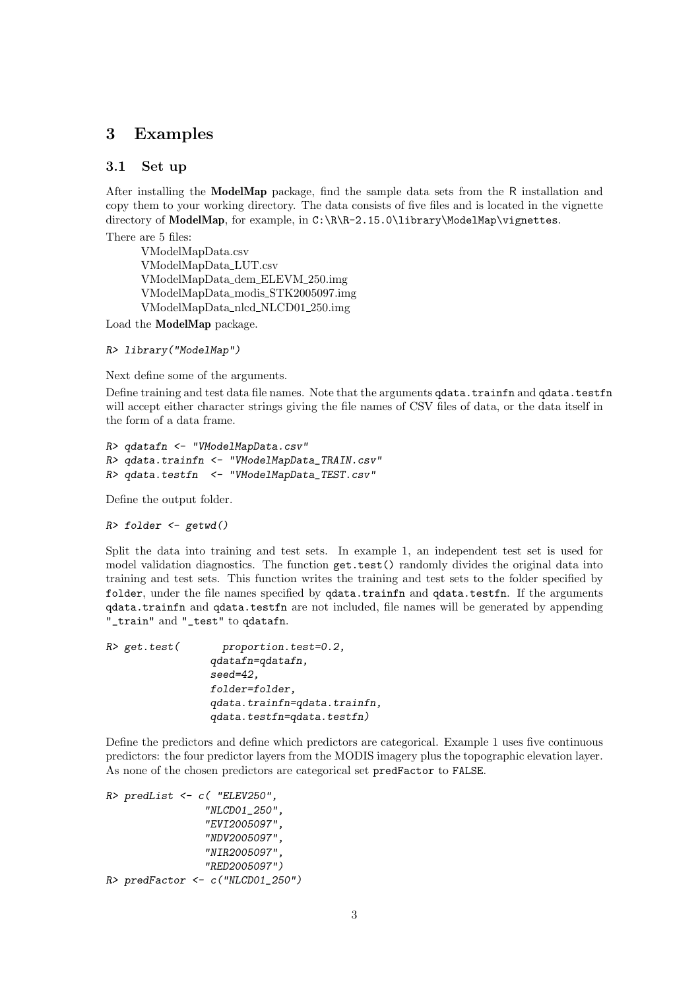## 3 Examples

#### 3.1 Set up

After installing the ModelMap package, find the sample data sets from the R installation and copy them to your working directory. The data consists of five files and is located in the vignette directory of ModelMap, for example, in C:\R\R-2.15.0\library\ModelMap\vignettes.

There are 5 files:

VModelMapData.csv VModelMapData LUT.csv VModelMapData dem ELEVM 250.img VModelMapData modis STK2005097.img VModelMapData nlcd NLCD01 250.img

Load the ModelMap package.

```
R> library("ModelMap")
```
Next define some of the arguments.

Define training and test data file names. Note that the arguments qdata.trainfn and qdata.testfn will accept either character strings giving the file names of CSV files of data, or the data itself in the form of a data frame.

```
R> qdatafn <- "VModelMapData.csv"
R> qdata.trainfn <- "VModelMapData_TRAIN.csv"
R> qdata.testfn <- "VModelMapData_TEST.csv"
```
Define the output folder.

*R> folder <- getwd()*

Split the data into training and test sets. In example 1, an independent test set is used for model validation diagnostics. The function get.test() randomly divides the original data into training and test sets. This function writes the training and test sets to the folder specified by folder, under the file names specified by  $qdata.trainfn$  and  $qdata.testfn$ . If the arguments qdata.trainfn and qdata.testfn are not included, file names will be generated by appending "\_train" and "\_test" to qdatafn.

| R> get.test( | proportion.test=0.2,         |
|--------------|------------------------------|
|              | qdatafn=qdatafn,             |
|              | $seed=42$ ,                  |
|              | folder=folder,               |
|              | qdata.trainfn=qdata.trainfn, |
|              | qdata.testfn=qdata.testfn)   |

Define the predictors and define which predictors are categorical. Example 1 uses five continuous predictors: the four predictor layers from the MODIS imagery plus the topographic elevation layer. As none of the chosen predictors are categorical set predFactor to FALSE.

```
R> predList <- c( "ELEV250",
                 "NLCD01_250",
                 "EVI2005097",
                 "NDV2005097",
                 "NIR2005097",
                 "RED2005097")
R> predFactor <- c("NLCD01_250")
```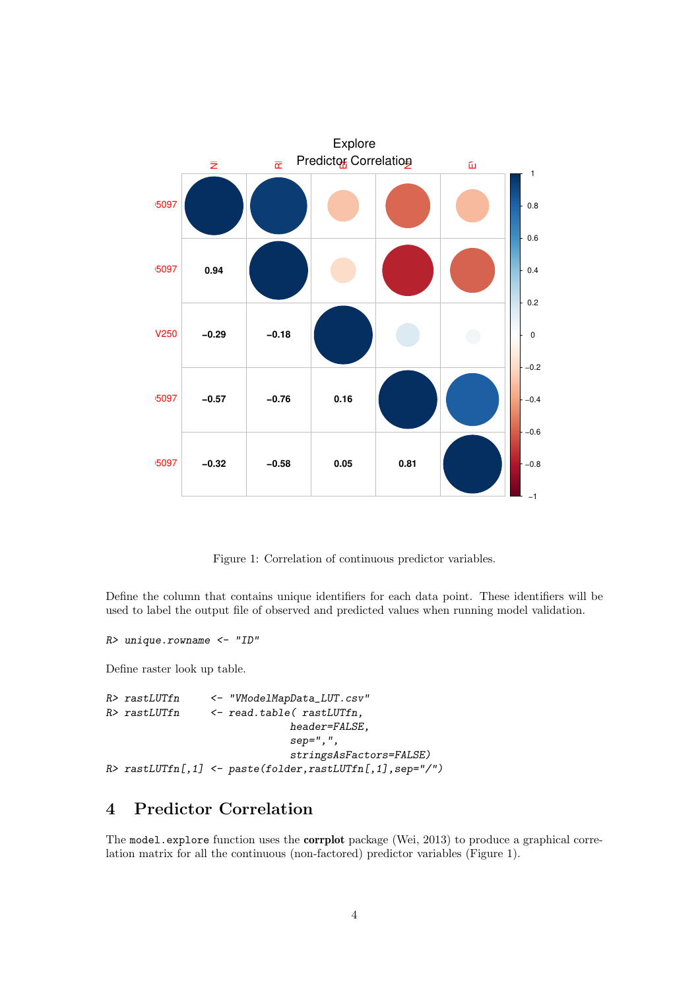

Figure 1: Correlation of continuous predictor variables.

Define the column that contains unique identifiers for each data point. These identifiers will be used to label the output file of observed and predicted values when running model validation.

```
R> unique.rowname <- "ID"
```
Define raster look up table.

```
R> rastLUTfn <- "VModelMapData_LUT.csv"
R> rastLUTfn <- read.table( rastLUTfn,
                             header=FALSE,
                             sep=",",
                             stringsAsFactors=FALSE)
R> rastLUTfn[,1] <- paste(folder,rastLUTfn[,1],sep="/")
```
# 4 Predictor Correlation

The model.explore function uses the **corrplot** package (Wei, 2013) to produce a graphical correlation matrix for all the continuous (non-factored) predictor variables (Figure 1).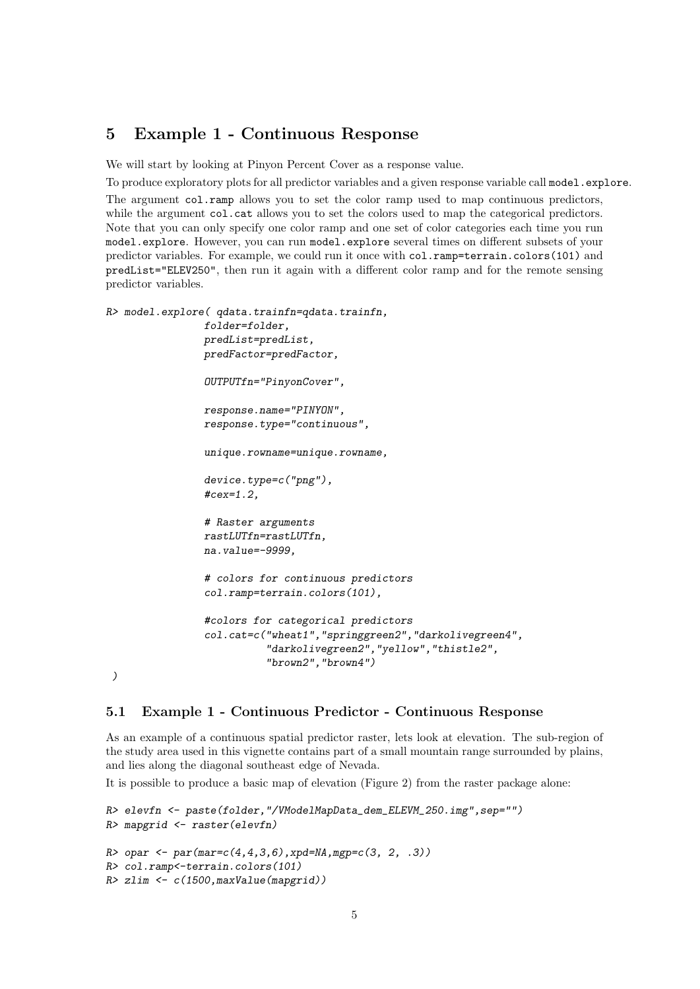## 5 Example 1 - Continuous Response

We will start by looking at Pinyon Percent Cover as a response value.

To produce exploratory plots for all predictor variables and a given response variable call model.explore.

The argument col.ramp allows you to set the color ramp used to map continuous predictors, while the argument col.cat allows you to set the colors used to map the categorical predictors. Note that you can only specify one color ramp and one set of color categories each time you run model.explore. However, you can run model.explore several times on different subsets of your predictor variables. For example, we could run it once with col.ramp=terrain.colors(101) and predList="ELEV250", then run it again with a different color ramp and for the remote sensing predictor variables.

```
R> model.explore( qdata.trainfn=qdata.trainfn,
                folder=folder,
                predList=predList,
                predFactor=predFactor,
                OUTPUTfn="PinyonCover",
                response.name="PINYON",
                response.type="continuous",
                unique.rowname=unique.rowname,
                device.type=c("png"),
                #cex=1.2,
                # Raster arguments
                rastLUTfn=rastLUTfn,
                na.value=-9999,
                # colors for continuous predictors
                col.ramp=terrain.colors(101),
                #colors for categorical predictors
                col.cat=c("wheat1","springgreen2","darkolivegreen4",
                          "darkolivegreen2","yellow","thistle2",
                           "brown2","brown4")
 )
```
5.1 Example 1 - Continuous Predictor - Continuous Response

As an example of a continuous spatial predictor raster, lets look at elevation. The sub-region of the study area used in this vignette contains part of a small mountain range surrounded by plains, and lies along the diagonal southeast edge of Nevada.

It is possible to produce a basic map of elevation (Figure 2) from the raster package alone:

```
R> elevfn <- paste(folder,"/VModelMapData_dem_ELEVM_250.img",sep="")
R> mapgrid <- raster(elevfn)
R> opar <- par(mar=c(4,4,3,6),xpd=NA,mgp=c(3, 2, .3))
R> col.ramp<-terrain.colors(101)
R> zlim <- c(1500,maxValue(mapgrid))
```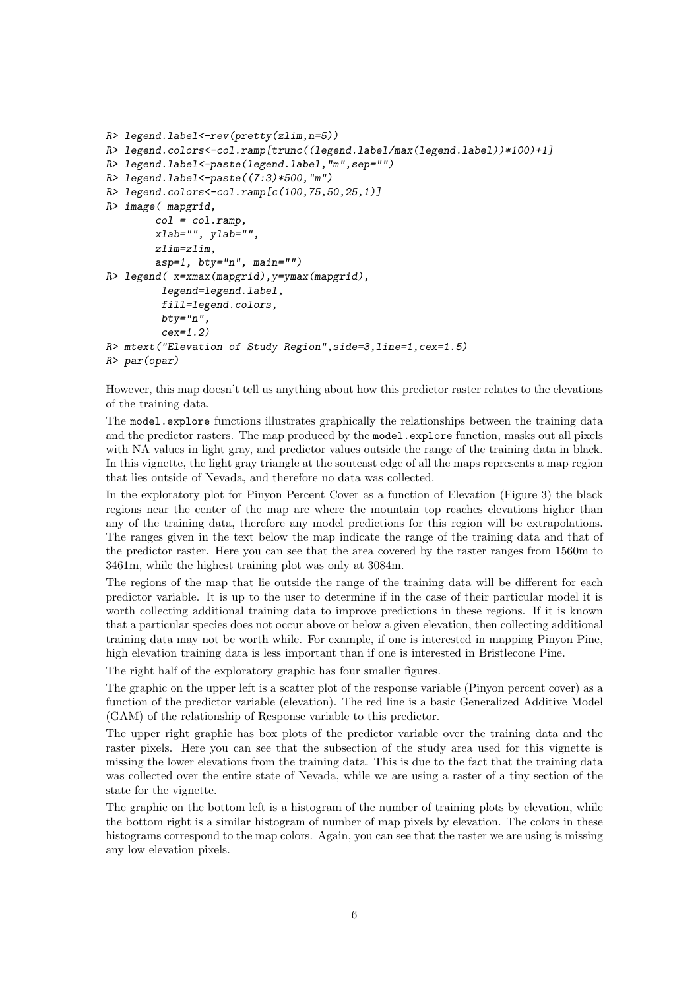```
R> legend.label<-rev(pretty(zlim,n=5))
R> legend.colors<-col.ramp[trunc((legend.label/max(legend.label))*100)+1]
R> legend.label<-paste(legend.label,"m",sep="")
R> legend.label<-paste((7:3)*500,"m")
R> legend.colors<-col.ramp[c(100,75,50,25,1)]
R> image( mapgrid,
        col = col.ramp,
        xlab="", ylab="",
        zlim=zlim,
        asp=1, bty="n", main="")
R> legend( x=xmax(mapgrid),y=ymax(mapgrid),
         legend=legend.label,
         fill=legend.colors,
         bty="n",
         cex=1.2)
R> mtext("Elevation of Study Region",side=3,line=1,cex=1.5)
R> par(opar)
```
However, this map doesn't tell us anything about how this predictor raster relates to the elevations of the training data.

The model.explore functions illustrates graphically the relationships between the training data and the predictor rasters. The map produced by the model.explore function, masks out all pixels with NA values in light gray, and predictor values outside the range of the training data in black. In this vignette, the light gray triangle at the souteast edge of all the maps represents a map region that lies outside of Nevada, and therefore no data was collected.

In the exploratory plot for Pinyon Percent Cover as a function of Elevation (Figure 3) the black regions near the center of the map are where the mountain top reaches elevations higher than any of the training data, therefore any model predictions for this region will be extrapolations. The ranges given in the text below the map indicate the range of the training data and that of the predictor raster. Here you can see that the area covered by the raster ranges from 1560m to 3461m, while the highest training plot was only at 3084m.

The regions of the map that lie outside the range of the training data will be different for each predictor variable. It is up to the user to determine if in the case of their particular model it is worth collecting additional training data to improve predictions in these regions. If it is known that a particular species does not occur above or below a given elevation, then collecting additional training data may not be worth while. For example, if one is interested in mapping Pinyon Pine, high elevation training data is less important than if one is interested in Bristlecone Pine.

The right half of the exploratory graphic has four smaller figures.

The graphic on the upper left is a scatter plot of the response variable (Pinyon percent cover) as a function of the predictor variable (elevation). The red line is a basic Generalized Additive Model (GAM) of the relationship of Response variable to this predictor.

The upper right graphic has box plots of the predictor variable over the training data and the raster pixels. Here you can see that the subsection of the study area used for this vignette is missing the lower elevations from the training data. This is due to the fact that the training data was collected over the entire state of Nevada, while we are using a raster of a tiny section of the state for the vignette.

The graphic on the bottom left is a histogram of the number of training plots by elevation, while the bottom right is a similar histogram of number of map pixels by elevation. The colors in these histograms correspond to the map colors. Again, you can see that the raster we are using is missing any low elevation pixels.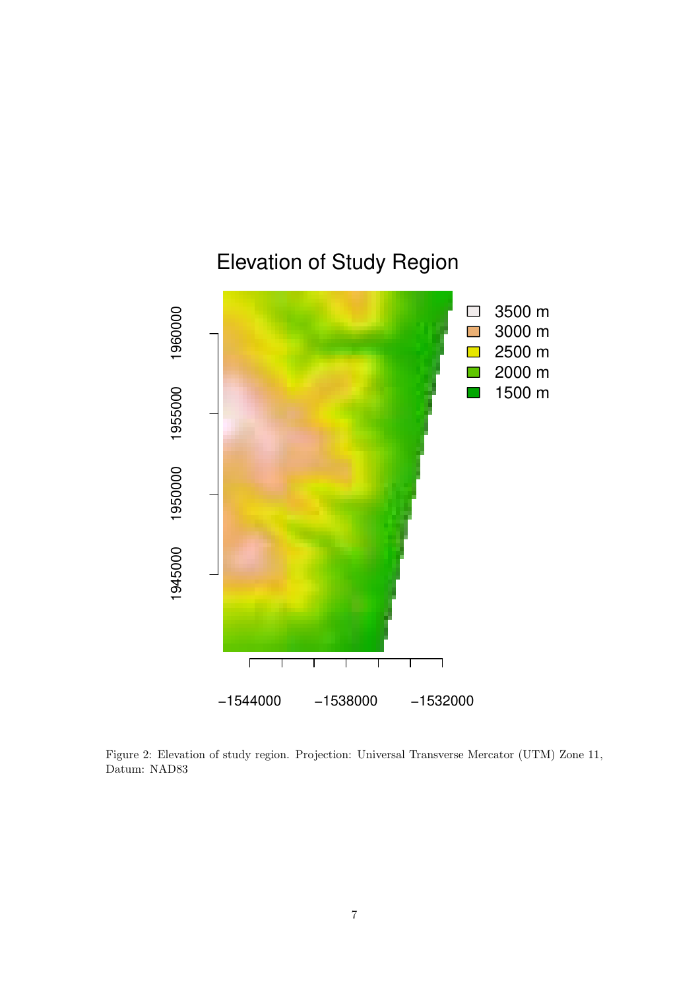

Figure 2: Elevation of study region. Projection: Universal Transverse Mercator (UTM) Zone 11, Datum: NAD83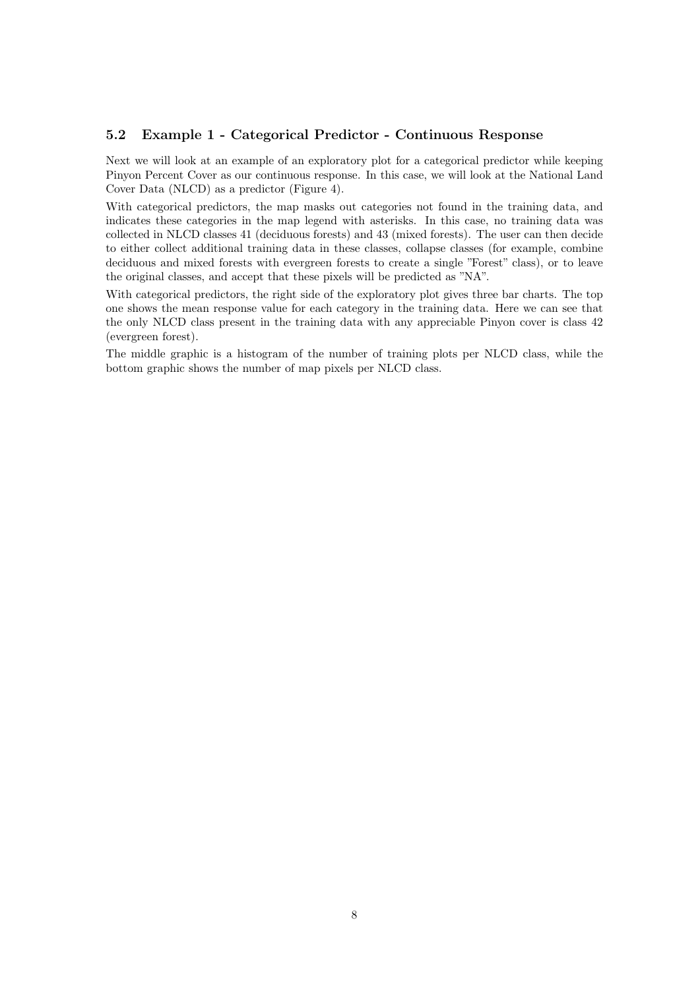## 5.2 Example 1 - Categorical Predictor - Continuous Response

Next we will look at an example of an exploratory plot for a categorical predictor while keeping Pinyon Percent Cover as our continuous response. In this case, we will look at the National Land Cover Data (NLCD) as a predictor (Figure 4).

With categorical predictors, the map masks out categories not found in the training data, and indicates these categories in the map legend with asterisks. In this case, no training data was collected in NLCD classes 41 (deciduous forests) and 43 (mixed forests). The user can then decide to either collect additional training data in these classes, collapse classes (for example, combine deciduous and mixed forests with evergreen forests to create a single "Forest" class), or to leave the original classes, and accept that these pixels will be predicted as "NA".

With categorical predictors, the right side of the exploratory plot gives three bar charts. The top one shows the mean response value for each category in the training data. Here we can see that the only NLCD class present in the training data with any appreciable Pinyon cover is class 42 (evergreen forest).

The middle graphic is a histogram of the number of training plots per NLCD class, while the bottom graphic shows the number of map pixels per NLCD class.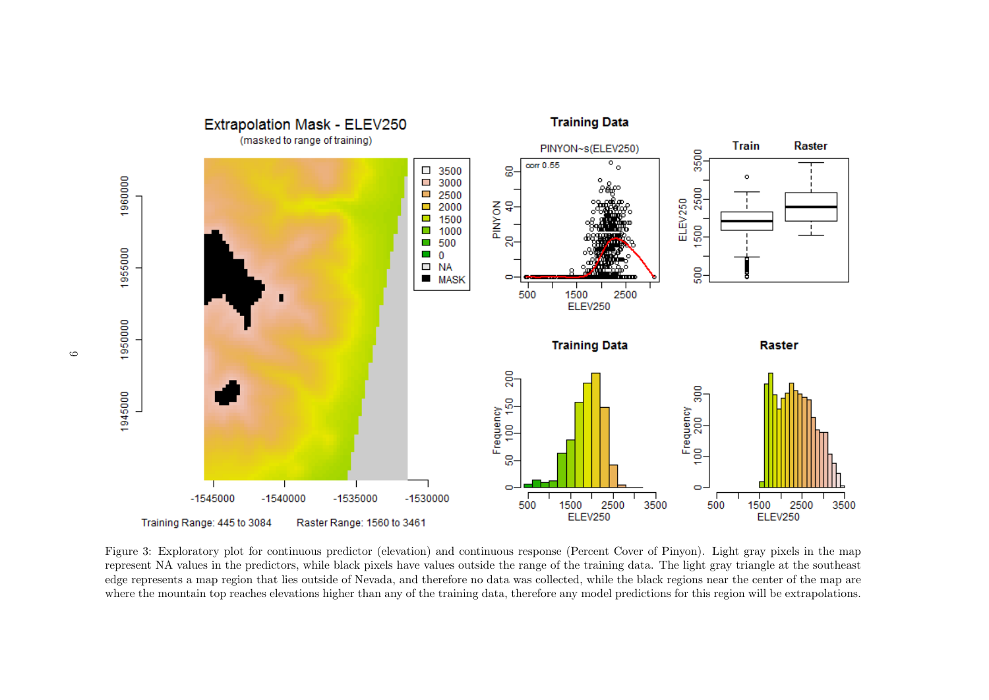

Figure 3: Exploratory plot for continuous predictor (elevation) and continuous response (Percent Cover of Pinyon). Light gray pixels in the map represent NA values in the predictors, while black pixels have values outside the range of the training data. The light gray triangle at the southeast edge represents a map region that lies outside of Nevada, and therefore no data was collected, while the black regions near the center of the map are where the mountain top reaches elevations higher than any of the training data, therefore any model predictions for this region will be extrapolations.

 $\circ$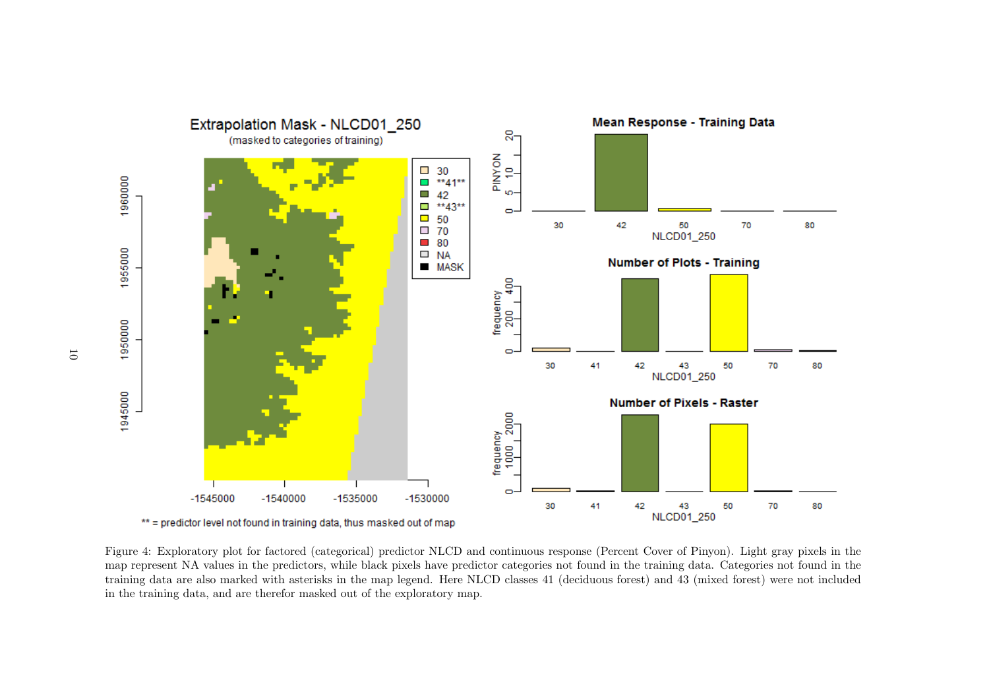

Figure 4: Exploratory plot for factored (categorical) predictor NLCD and continuous response (Percent Cover of Pinyon). Light gray pixels in the map represent NA values in the predictors, while black pixels have predictor categories not found in the training data. Categories not found in the training data are also marked with asterisks in the map legend. Here NLCD classes 41 (deciduous forest) and 43 (mixed forest) were not included in the training data, and are therefor masked out of the exploratory map.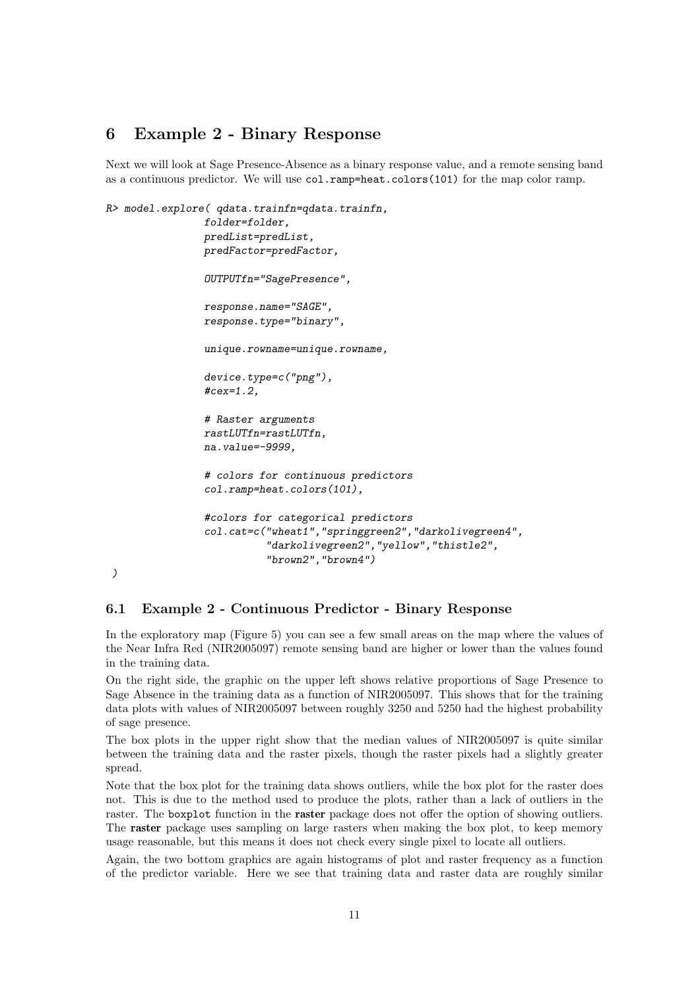## 6 Example 2 - Binary Response

Next we will look at Sage Presence-Absence as a binary response value, and a remote sensing band as a continuous predictor. We will use col.ramp=heat.colors(101) for the map color ramp.

```
R> model.explore( qdata.trainfn=qdata.trainfn,
                folder=folder,
                predList=predList,
                predFactor=predFactor,
                OUTPUTfn="SagePresence",
                response.name="SAGE",
                response.type="binary",
                unique.rowname=unique.rowname,
                device.type=c("png"),
                #cex=1.2,
                # Raster arguments
                rastLUTfn=rastLUTfn,
                na.value=-9999,
                # colors for continuous predictors
                col.ramp=heat.colors(101),
                #colors for categorical predictors
                col.cat=c("wheat1","springgreen2","darkolivegreen4",
                           "darkolivegreen2","yellow","thistle2",
                           "brown2","brown4")
```
### 6.1 Example 2 - Continuous Predictor - Binary Response

*)*

In the exploratory map (Figure 5) you can see a few small areas on the map where the values of the Near Infra Red (NIR2005097) remote sensing band are higher or lower than the values found in the training data.

On the right side, the graphic on the upper left shows relative proportions of Sage Presence to Sage Absence in the training data as a function of NIR2005097. This shows that for the training data plots with values of NIR2005097 between roughly 3250 and 5250 had the highest probability of sage presence.

The box plots in the upper right show that the median values of NIR2005097 is quite similar between the training data and the raster pixels, though the raster pixels had a slightly greater spread.

Note that the box plot for the training data shows outliers, while the box plot for the raster does not. This is due to the method used to produce the plots, rather than a lack of outliers in the raster. The boxplot function in the raster package does not offer the option of showing outliers. The raster package uses sampling on large rasters when making the box plot, to keep memory usage reasonable, but this means it does not check every single pixel to locate all outliers.

Again, the two bottom graphics are again histograms of plot and raster frequency as a function of the predictor variable. Here we see that training data and raster data are roughly similar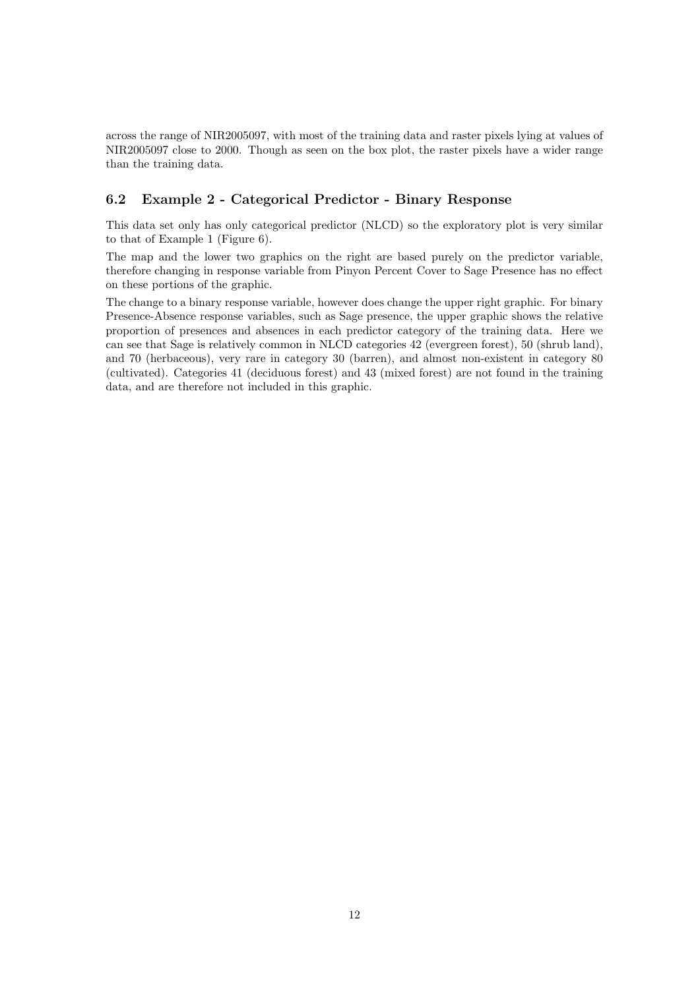across the range of NIR2005097, with most of the training data and raster pixels lying at values of NIR2005097 close to 2000. Though as seen on the box plot, the raster pixels have a wider range than the training data.

## 6.2 Example 2 - Categorical Predictor - Binary Response

This data set only has only categorical predictor (NLCD) so the exploratory plot is very similar to that of Example 1 (Figure 6).

The map and the lower two graphics on the right are based purely on the predictor variable, therefore changing in response variable from Pinyon Percent Cover to Sage Presence has no effect on these portions of the graphic.

The change to a binary response variable, however does change the upper right graphic. For binary Presence-Absence response variables, such as Sage presence, the upper graphic shows the relative proportion of presences and absences in each predictor category of the training data. Here we can see that Sage is relatively common in NLCD categories 42 (evergreen forest), 50 (shrub land), and 70 (herbaceous), very rare in category 30 (barren), and almost non-existent in category 80 (cultivated). Categories 41 (deciduous forest) and 43 (mixed forest) are not found in the training data, and are therefore not included in this graphic.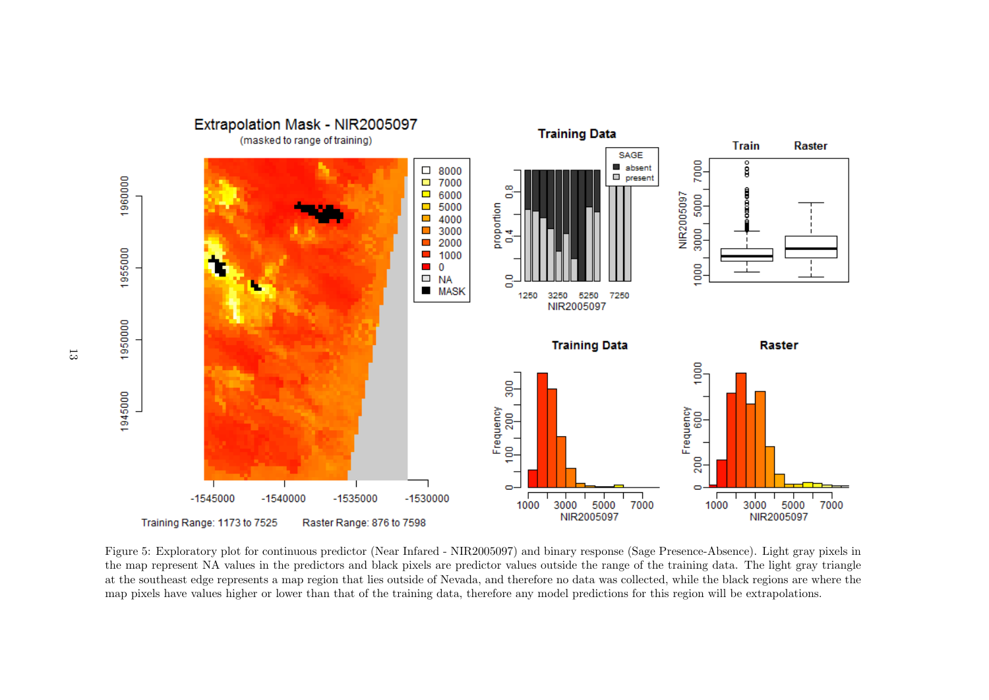Extrapolation Mask - NIR2005097 **Training Data** (masked to range of training) **Train Raster** SAGE 7000 e<br>S absent  $\Box$  8000  $\Box$  present 1960000  $\Box$  7000  $\infty$  $\Box$  6000 5000 NIR2005097 õ  $-5000$ proportion  $\overline{\phantom{a}}$ 4000 3000  $\mathcal{L}_{\mathcal{A}}$ 3000 ÷ 2000 ö  $\mathcal{L}_{\mathcal{A}}$ 1955000  $\blacksquare$  1000  $1000$  $\blacksquare$  0  $\Box$  NA  $\circ$  $\vec{a}$ **MASK** 1250 3250 5250 7250 NIR2005097 1950000 **Training Data** Raster 1000 90 1945000 Frequency<br>600<br>. Frequency 200 ę. 200  $\Box$  $\Box$  $-1545000$  $-1540000$  $-1535000$  $-1530000$ 5000 7000 5000 3000 7000 1000 3000 1000 NIR2005097 NIR2005097 Training Range: 1173 to 7525 Raster Range: 876 to 7598

Figure 5: Exploratory plot for continuous predictor (Near Infared - NIR2005097) and binary response (Sage Presence-Absence). Light gray pixels in the map represent NA values in the predictors and black pixels are predictor values outside the range of the training data. The light gray triangle at the southeast edge represents a map region that lies outside of Nevada, and therefore no data was collected, while the black regions are where the map pixels have values higher or lower than that of the training data, therefore any model predictions for this region will be extrapolations.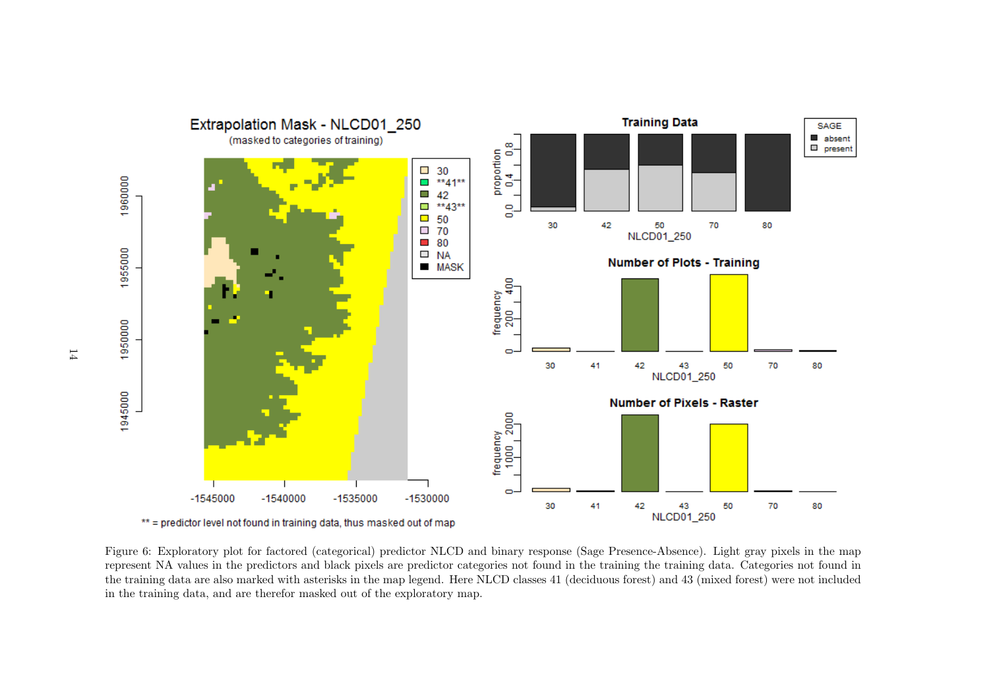

Figure 6: Exploratory plot for factored (categorical) predictor NLCD and binary response (Sage Presence-Absence). Light gray pixels in the map represent NA values in the predictors and black pixels are predictor categories not found in the training the training data. Categories not found in the training data are also marked with asterisks in the map legend. Here NLCD classes 41 (deciduous forest) and 43 (mixed forest) were not included in the training data, and are therefor masked out of the exploratory map.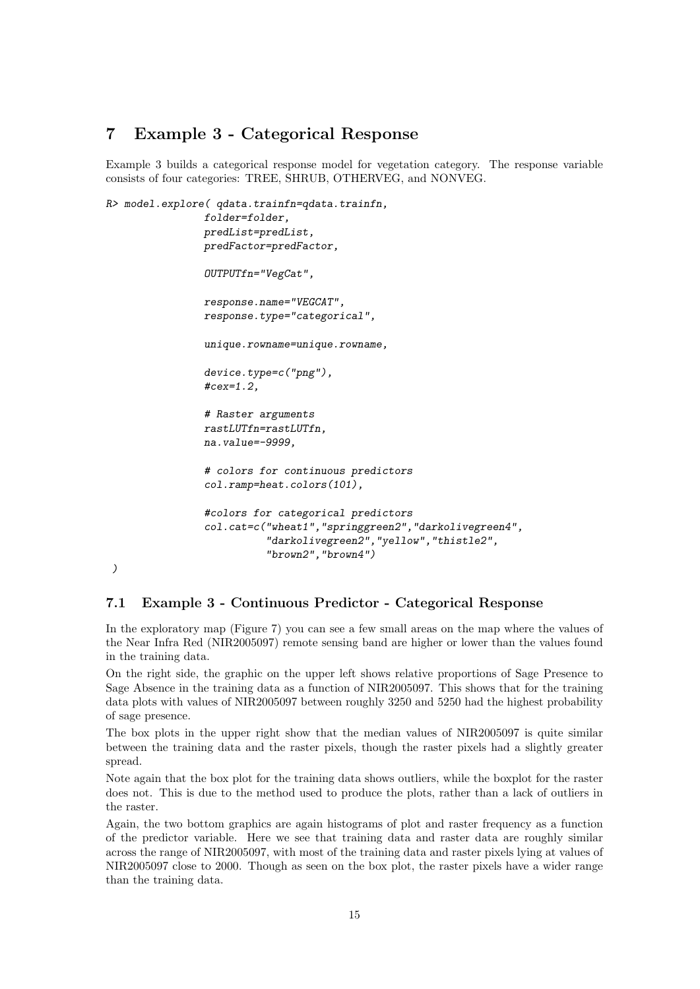# 7 Example 3 - Categorical Response

Example 3 builds a categorical response model for vegetation category. The response variable consists of four categories: TREE, SHRUB, OTHERVEG, and NONVEG.

```
R> model.explore( qdata.trainfn=qdata.trainfn,
                folder=folder,
                predList=predList,
                predFactor=predFactor,
                OUTPUTfn="VegCat",
                response.name="VEGCAT",
                response.type="categorical",
                unique.rowname=unique.rowname,
                device.type=c("png"),
                #cex=1.2,
                # Raster arguments
                rastLUTfn=rastLUTfn,
                na.value=-9999,
                # colors for continuous predictors
                col.ramp=heat.colors(101),
                #colors for categorical predictors
                col.cat=c("wheat1","springgreen2","darkolivegreen4",
                           "darkolivegreen2","yellow","thistle2",
                           "brown2","brown4")
```
### 7.1 Example 3 - Continuous Predictor - Categorical Response

*)*

In the exploratory map (Figure 7) you can see a few small areas on the map where the values of the Near Infra Red (NIR2005097) remote sensing band are higher or lower than the values found in the training data.

On the right side, the graphic on the upper left shows relative proportions of Sage Presence to Sage Absence in the training data as a function of NIR2005097. This shows that for the training data plots with values of NIR2005097 between roughly 3250 and 5250 had the highest probability of sage presence.

The box plots in the upper right show that the median values of NIR2005097 is quite similar between the training data and the raster pixels, though the raster pixels had a slightly greater spread.

Note again that the box plot for the training data shows outliers, while the boxplot for the raster does not. This is due to the method used to produce the plots, rather than a lack of outliers in the raster.

Again, the two bottom graphics are again histograms of plot and raster frequency as a function of the predictor variable. Here we see that training data and raster data are roughly similar across the range of NIR2005097, with most of the training data and raster pixels lying at values of NIR2005097 close to 2000. Though as seen on the box plot, the raster pixels have a wider range than the training data.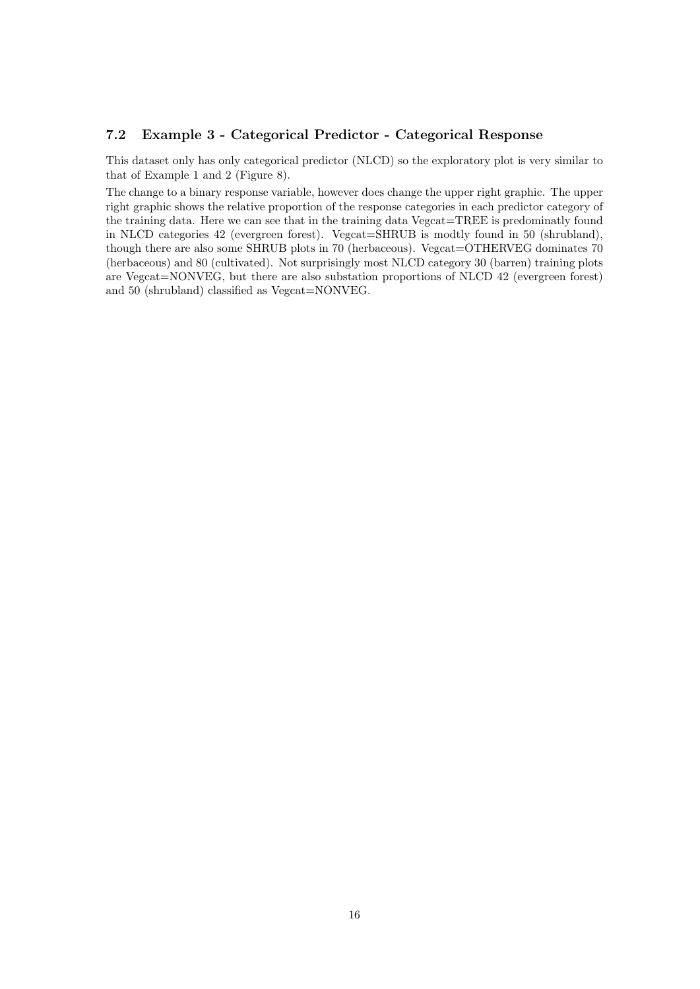#### 7.2 Example 3 - Categorical Predictor - Categorical Response

This dataset only has only categorical predictor (NLCD) so the exploratory plot is very similar to that of Example 1 and 2 (Figure 8).

The change to a binary response variable, however does change the upper right graphic. The upper right graphic shows the relative proportion of the response categories in each predictor category of the training data. Here we can see that in the training data Vegcat=TREE is predominatly found in NLCD categories 42 (evergreen forest). Vegcat=SHRUB is modtly found in 50 (shrubland), though there are also some SHRUB plots in 70 (herbaceous). Vegcat=OTHERVEG dominates 70 (herbaceous) and 80 (cultivated). Not surprisingly most NLCD category 30 (barren) training plots are Vegcat=NONVEG, but there are also substation proportions of NLCD 42 (evergreen forest) and 50 (shrubland) classified as Vegcat=NONVEG.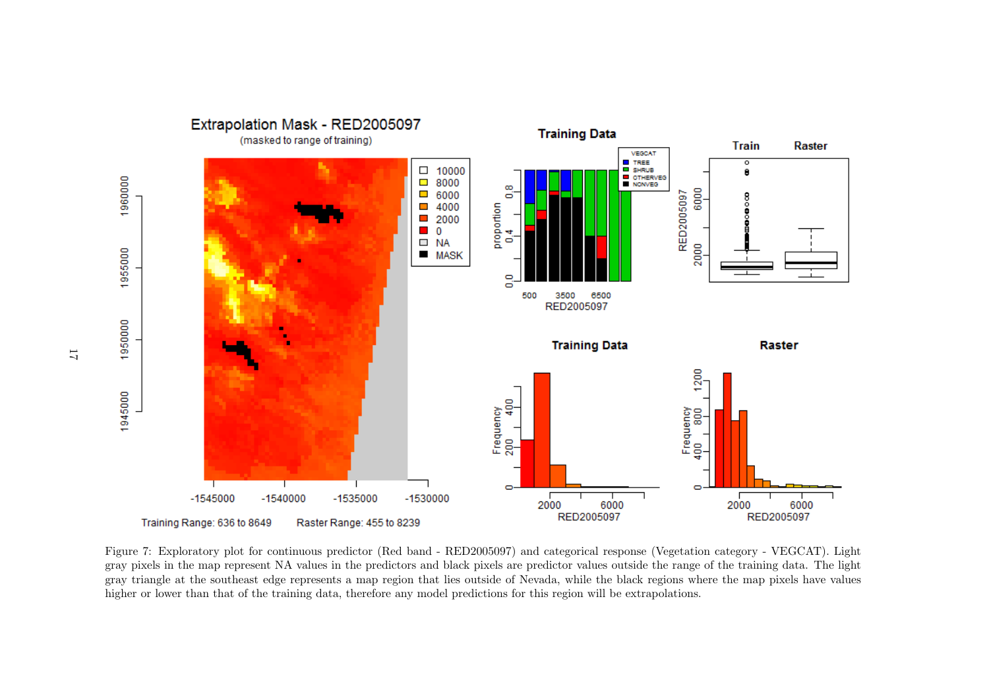Extrapolation Mask - RED2005097 **Training Data** (masked to range of training) **Train Raster** VEGCAT **E** TREE<br>**E** SHRUB ठ  $\Box$  10000  $\bullet$ 1960000 OTHERVES  $\Box$  8000  $\infty$ 6000  $\Box$  6000 RED2005097 õ ٤ 4000 proportion ā  $\mathcal{L}_{\mathcal{A}}$ 2000  $\mathcal{L}_{\mathcal{A}}$  $\blacksquare$  0 ÷ **NA** õ  $\Box$ 2000 1955000  $MASK$  $\circ$  $\vec{a}$ 6500 500 3500 RED2005097 1950000 **Training Data** Raster 1200 1945000 400 Frequency<br>200 400 Frequency<br>400 800  $\bullet$  $\circ$  $-1545000$  $-1540000$  $-1535000$  $-1530000$ 6000 2000 2000 6000 RED2005097 RED2005097 Raster Range: 455 to 8239 Training Range: 636 to 8649

Figure 7: Exploratory plot for continuous predictor (Red band - RED2005097) and categorical response (Vegetation category - VEGCAT). Light gray pixels in the map represent NA values in the predictors and black pixels are predictor values outside the range of the training data. The light gray triangle at the southeast edge represents a map region that lies outside of Nevada, while the black regions where the map pixels have values higher or lower than that of the training data, therefore any model predictions for this region will be extrapolations.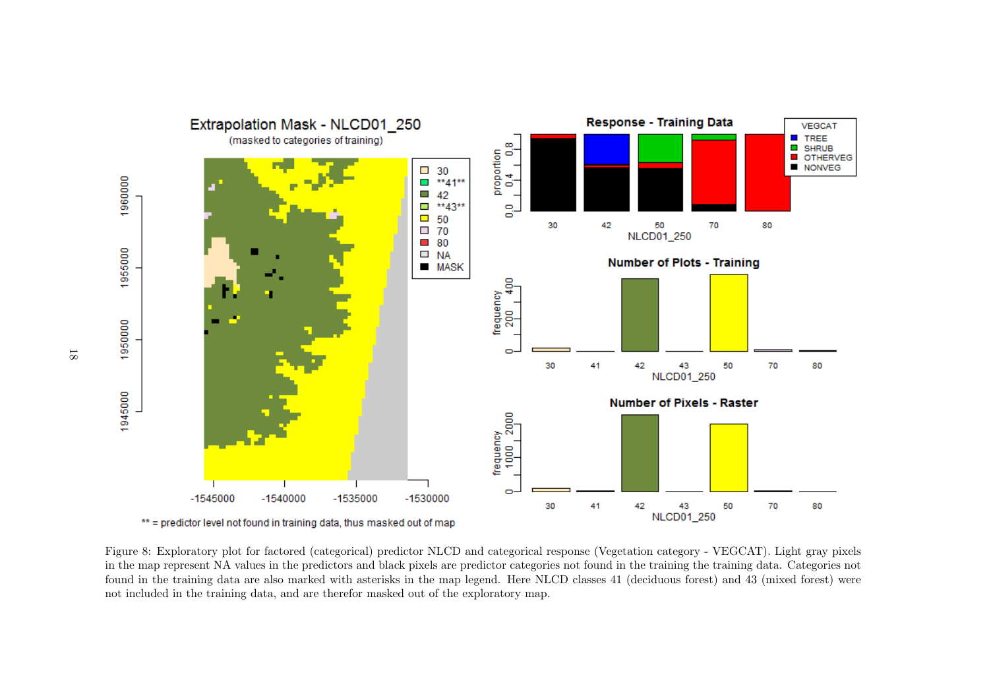Response - Training Data Extrapolation Mask - NLCD01 250 **VEGCAT** .<br>(masked to categories of training)  $\blacksquare$  TREE  $\infty$  $\overline{\phantom{a}}$ **SHRUB** proportion $\begin{bmatrix}0.4 & 0.8\ 0.1 & 1\end{bmatrix}$  $\overline{\phantom{a}}$ **OTHERVEG NONVEG**  $\blacksquare$  $\Box$  30 1960000  $\overline{\phantom{a}}$ \*\*41\*\*  $\overline{\phantom{a}}$ 42  $\overline{\phantom{a}}$ \*\*43\*\*  $\bullet$ d  $\blacksquare$ 50 30 42 50 70 80  $\overline{20}$ **NLCD01 250**  $\overline{\phantom{a}}$ 80 1955000  $\Box$  NA **Number of Plots - Training**  $MASK$  $\frac{6}{4}$ frequency  $\frac{1}{200}$ 1950000  $\sim$ 30 41 42 43 50 70 80 NLCD01\_250 1945000 **Number of Pixels - Raster** frequency<br>1000 2000  $\Box$  $-1545000$  $-1540000$  $-1535000$  $-1530000$  $43$ <br>NLCD01\_250 30 41 42 50 70 80 \*\* = predictor level not found in training data, thus masked out of map

Figure 8: Exploratory plot for factored (categorical) predictor NLCD and categorical response (Vegetation category - VEGCAT). Light gray pixels in the map represent NA values in the predictors and black pixels are predictor categories not found in the training the training data. Categories not found in the training data are also marked with asterisks in the map legend. Here NLCD classes 41 (deciduous forest) and 43 (mixed forest) were not included in the training data, and are therefor masked out of the exploratory map.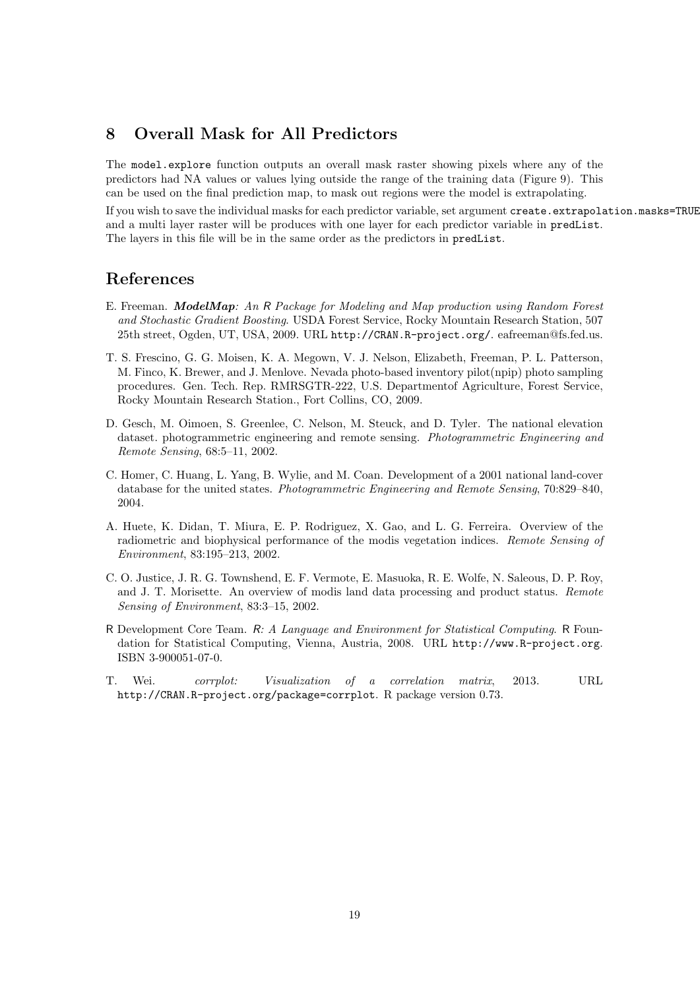# 8 Overall Mask for All Predictors

The model.explore function outputs an overall mask raster showing pixels where any of the predictors had NA values or values lying outside the range of the training data (Figure 9). This can be used on the final prediction map, to mask out regions were the model is extrapolating.

If you wish to save the individual masks for each predictor variable, set argument create.extrapolation.masks=TRUE and a multi layer raster will be produces with one layer for each predictor variable in predList. The layers in this file will be in the same order as the predictors in predList.

## References

- E. Freeman. ModelMap: An R Package for Modeling and Map production using Random Forest and Stochastic Gradient Boosting. USDA Forest Service, Rocky Mountain Research Station, 507 25th street, Ogden, UT, USA, 2009. URL http://CRAN.R-project.org/. eafreeman@fs.fed.us.
- T. S. Frescino, G. G. Moisen, K. A. Megown, V. J. Nelson, Elizabeth, Freeman, P. L. Patterson, M. Finco, K. Brewer, and J. Menlove. Nevada photo-based inventory pilot(npip) photo sampling procedures. Gen. Tech. Rep. RMRSGTR-222, U.S. Departmentof Agriculture, Forest Service, Rocky Mountain Research Station., Fort Collins, CO, 2009.
- D. Gesch, M. Oimoen, S. Greenlee, C. Nelson, M. Steuck, and D. Tyler. The national elevation dataset. photogrammetric engineering and remote sensing. Photogrammetric Engineering and Remote Sensing, 68:5–11, 2002.
- C. Homer, C. Huang, L. Yang, B. Wylie, and M. Coan. Development of a 2001 national land-cover database for the united states. Photogrammetric Engineering and Remote Sensing, 70:829–840, 2004.
- A. Huete, K. Didan, T. Miura, E. P. Rodriguez, X. Gao, and L. G. Ferreira. Overview of the radiometric and biophysical performance of the modis vegetation indices. Remote Sensing of Environment, 83:195–213, 2002.
- C. O. Justice, J. R. G. Townshend, E. F. Vermote, E. Masuoka, R. E. Wolfe, N. Saleous, D. P. Roy, and J. T. Morisette. An overview of modis land data processing and product status. Remote Sensing of Environment, 83:3–15, 2002.
- R Development Core Team. R: A Language and Environment for Statistical Computing. R Foundation for Statistical Computing, Vienna, Austria, 2008. URL http://www.R-project.org. ISBN 3-900051-07-0.
- T. Wei. corrplot: Visualization of a correlation matrix, 2013. URL http://CRAN.R-project.org/package=corrplot. R package version 0.73.